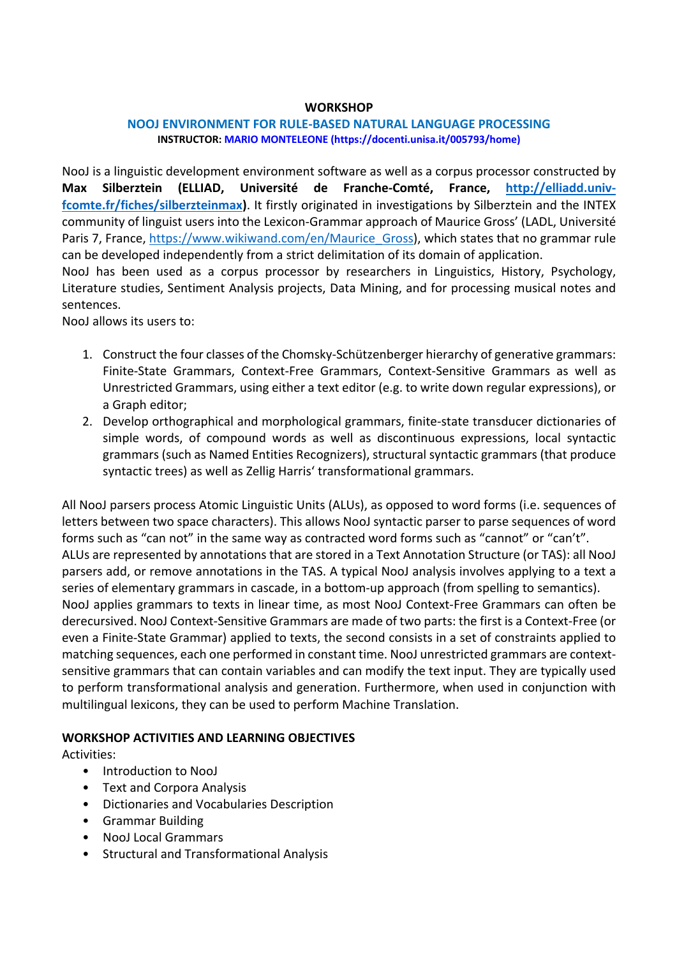# **WORKSHOP**

## **NOOJ ENVIRONMENT FOR RULE-BASED NATURAL LANGUAGE PROCESSING INSTRUCTOR: MARIO MONTELEONE (https://docenti.unisa.it/005793/home)**

NooJ is a linguistic development environment software as well as a corpus processor constructed by **Max Silberztein (ELLIAD, Université de Franche-Comté, France, http://elliadd.univfcomte.fr/fiches/silberzteinmax)**. It firstly originated in investigations by Silberztein and the INTEX community of linguist users into the Lexicon-Grammar approach of Maurice Gross' (LADL, Université Paris 7, France, https://www.wikiwand.com/en/Maurice\_Gross), which states that no grammar rule can be developed independently from a strict delimitation of its domain of application.

NooJ has been used as a corpus processor by researchers in Linguistics, History, Psychology, Literature studies, Sentiment Analysis projects, Data Mining, and for processing musical notes and sentences.

NooJ allows its users to:

- 1. Construct the four classes of the Chomsky-Schützenberger hierarchy of generative grammars: Finite-State Grammars, Context-Free Grammars, Context-Sensitive Grammars as well as Unrestricted Grammars, using either a text editor (e.g. to write down regular expressions), or a Graph editor;
- 2. Develop orthographical and morphological grammars, finite-state transducer dictionaries of simple words, of compound words as well as discontinuous expressions, local syntactic grammars (such as Named Entities Recognizers), structural syntactic grammars (that produce syntactic trees) as well as Zellig Harris' transformational grammars.

All NooJ parsers process Atomic Linguistic Units (ALUs), as opposed to word forms (i.e. sequences of letters between two space characters). This allows NooJ syntactic parser to parse sequences of word forms such as "can not" in the same way as contracted word forms such as "cannot" or "can't". ALUs are represented by annotations that are stored in a Text Annotation Structure (or TAS): all NooJ parsers add, or remove annotations in the TAS. A typical NooJ analysis involves applying to a text a series of elementary grammars in cascade, in a bottom-up approach (from spelling to semantics). NooJ applies grammars to texts in linear time, as most NooJ Context-Free Grammars can often be derecursived. NooJ Context-Sensitive Grammars are made of two parts: the first is a Context-Free (or even a Finite-State Grammar) applied to texts, the second consists in a set of constraints applied to matching sequences, each one performed in constant time. NooJ unrestricted grammars are contextsensitive grammars that can contain variables and can modify the text input. They are typically used to perform transformational analysis and generation. Furthermore, when used in conjunction with multilingual lexicons, they can be used to perform Machine Translation.

# **WORKSHOP ACTIVITIES AND LEARNING OBJECTIVES**

Activities:

- Introduction to NooJ
- Text and Corpora Analysis
- Dictionaries and Vocabularies Description
- Grammar Building
- NooJ Local Grammars
- Structural and Transformational Analysis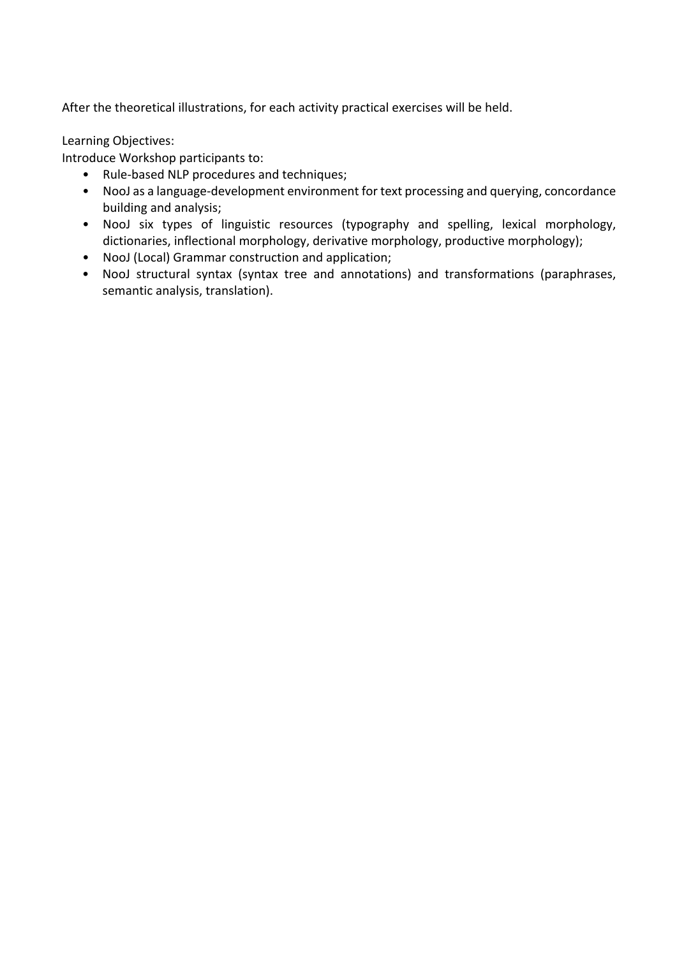After the theoretical illustrations, for each activity practical exercises will be held.

Learning Objectives:

Introduce Workshop participants to:

- Rule-based NLP procedures and techniques;
- NooJ as a language-development environment for text processing and querying, concordance building and analysis;
- NooJ six types of linguistic resources (typography and spelling, lexical morphology, dictionaries, inflectional morphology, derivative morphology, productive morphology);
- NooJ (Local) Grammar construction and application;
- NooJ structural syntax (syntax tree and annotations) and transformations (paraphrases, semantic analysis, translation).